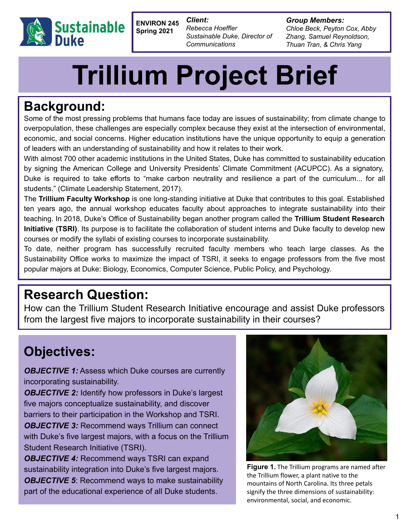

**ENVIRON 245 Spring 2021**

*Client: Rebecca Hoeffler Sustainable Duke, Director of Communications*

*Group Members: Chloe Beck, Peyton Cox, Abby Zhang, Samuel Reynoldson, Thuan Tran, & Chris Yang*

# **Trillium Project Brief**

# **Background:**

Some of the most pressing problems that humans face today are issues of sustainability; from climate change to overpopulation, these challenges are especially complex because they exist at the intersection of environmental, economic, and social concerns. Higher education institutions have the unique opportunity to equip a generation of leaders with an understanding of sustainability and how it relates to their work.

With almost 700 other academic institutions in the United States, Duke has committed to sustainability education by signing the American College and University Presidents' Climate Commitment (ACUPCC). As a signatory, Duke is required to take efforts to "make carbon neutrality and resilience a part of the curriculum... for all students." (Climate Leadership Statement, 2017).

The **Trillium Faculty Workshop** is one long-standing initiative at Duke that contributes to this goal. Established ten years ago, the annual workshop educates faculty about approaches to integrate sustainability into their teaching. In 2018, Duke's Office of Sustainability began another program called the **Trillium Student Research Initiative (TSRI)**. Its purpose is to facilitate the collaboration of student interns and Duke faculty to develop new courses or modify the syllabi of existing courses to incorporate sustainability.

To date, neither program has successfully recruited faculty members who teach large classes. As the Sustainability Office works to maximize the impact of TSRI, it seeks to engage professors from the five most popular majors at Duke: Biology, Economics, Computer Science, Public Policy, and Psychology.

# **Research Question:**

How can the Trillium Student Research Initiative encourage and assist Duke professors from the largest five majors to incorporate sustainability in their courses?

# **Objectives:**

**OBJECTIVE 1:** Assess which Duke courses are currently incorporating sustainability.

**OBJECTIVE 2:** Identify how professors in Duke's largest five majors conceptualize sustainability, and discover barriers to their participation in the Workshop and TSRI. **OBJECTIVE 3: Recommend ways Trillium can connect** with Duke's five largest majors, with a focus on the Trillium Student Research Initiative (TSRI).

*OBJECTIVE 4:* Recommend ways TSRI can expand sustainability integration into Duke's five largest majors. *OBJECTIVE 5:* Recommend ways to make sustainability part of the educational experience of all Duke students.



**Figure 1.** The Trillium programs are named after the Trillium flower, a plant native to the mountains of North Carolina. Its three petals signify the three dimensions of sustainability: environmental, social, and economic.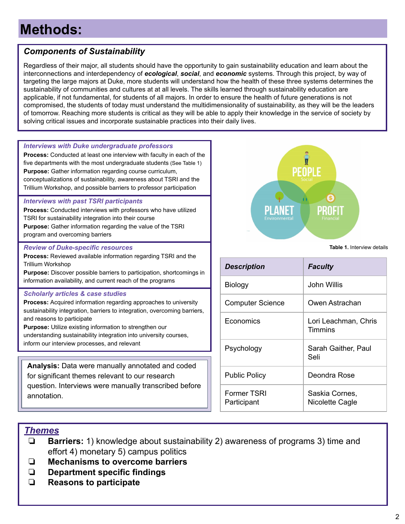# **Methods:**

## *Components of Sustainability*

Regardless of their major, all students should have the opportunity to gain sustainability education and learn about the interconnections and interdependency of *ecological*, *social*, and *economic* systems. Through this project, by way of targeting the large majors at Duke, more students will understand how the health of these three systems determines the sustainability of communities and cultures at at all levels. The skills learned through sustainability education are applicable, if not fundamental, for students of all majors. In order to ensure the health of future generations is not compromised, the students of today must understand the multidimensionality of sustainability, as they will be the leaders of tomorrow. Reaching more students is critical as they will be able to apply their knowledge in the service of society by solving critical issues and incorporate sustainable practices into their daily lives.

#### *Interviews with Duke undergraduate professors* **Process:** Conducted at least one interview with faculty in each of the five departments with the most undergraduate students (See Table 1)

**Purpose:** Gather information regarding course curriculum, conceptualizations of sustainability, awareness about TSRI and the Trillium Workshop, and possible barriers to professor participation

#### *Interviews with past TSRI participants*

**Process:** Conducted interviews with professors who have utilized TSRI for sustainability integration into their course **Purpose:** Gather information regarding the value of the TSRI program and overcoming barriers

#### *Review of Duke-specific resources*

**Process:** Reviewed available information regarding TSRI and the Trillium Workshop

**Purpose:** Discover possible barriers to participation, shortcomings in information availability, and current reach of the programs

#### *Scholarly articles & case studies*

**Process:** Acquired information regarding approaches to university sustainability integration, barriers to integration, overcoming barriers, and reasons to participate

**Purpose:** Utilize existing information to strengthen our understanding sustainability integration into university courses, inform our interview processes, and relevant

**Analysis:** Data were manually annotated and coded for significant themes relevant to our research question. Interviews were manually transcribed before annotation.



**Table 1.** Interview details

| <b>Description</b>         | <b>Faculty</b>                    |
|----------------------------|-----------------------------------|
| Biology                    | John Willis                       |
| <b>Computer Science</b>    | Owen Astrachan                    |
| Economics                  | Lori Leachman, Chris<br>Timmins   |
| Psychology                 | Sarah Gaither, Paul<br>Seli       |
| <b>Public Policy</b>       | Deondra Rose                      |
| Former TSRI<br>Participant | Saskia Cornes,<br>Nicolette Cagle |

## *Themes*

- ❏ **Barriers:** 1) knowledge about sustainability 2) awareness of programs 3) time and effort 4) monetary 5) campus politics
- ❏ **Mechanisms to overcome barriers**
- ❏ **Department specific findings**
- ❏ **Reasons to participate**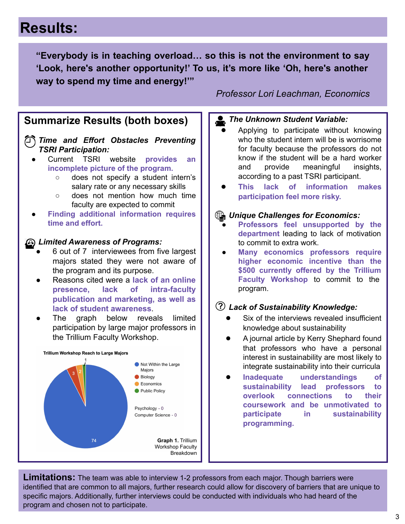# **Results:**

**"Everybody is in teaching overload… so this is not the environment to say 'Look, here's another opportunity!' To us, it's more like 'Oh, here's another way to spend my time and energy!'"**

## **Summarize Results (both boxes)**

*Time and Effort Obstacles Preventing TSRI Participation:*

- Current TSRI website **provides an incomplete picture of the program.**
	- does not specify a student intern's salary rate or any necessary skills
	- does not mention how much time faculty are expected to commit
- **Finding additional information requires time and effort.**

### *Limited Awareness of Programs:*

- 6 out of 7 interviewees from five largest majors stated they were not aware of the program and its purpose.
- Reasons cited were a **lack of an online presence, lack of intra-faculty publication and marketing, as well as lack of student awareness**.
- The graph below reveals limited participation by large major professors in the Trillium Faculty Workshop.



*Professor Lori Leachman, Economics*

## *The Unknown Student Variable:*

- Applying to participate without knowing who the student intern will be is worrisome for faculty because the professors do not know if the student will be a hard worker and provide meaningful insights, according to a past TSRI participant.
- **This lack of information makes participation feel more risky.**

## *Unique Challenges for Economics:*

- **Professors feel unsupported by the department** leading to lack of motivation to commit to extra work.
- **Many economics professors require higher economic incentive than the \$500 currently offered by the Trillium Faculty Workshop** to commit to the program.

## *Lack of Sustainability Knowledge:*

- Six of the interviews revealed insufficient knowledge about sustainability
- A journal article by Kerry Shephard found that professors who have a personal interest in sustainability are most likely to integrate sustainability into their curricula
- **Inadequate understandings of sustainability lead professors to overlook connections to their coursework and be unmotivated to participate in sustainability programming.**

**Limitations:** The team was able to interview 1-2 professors from each major. Though barriers were identified that are common to all majors, further research could allow for discovery of barriers that are unique to specific majors. Additionally, further interviews could be conducted with individuals who had heard of the program and chosen not to participate.